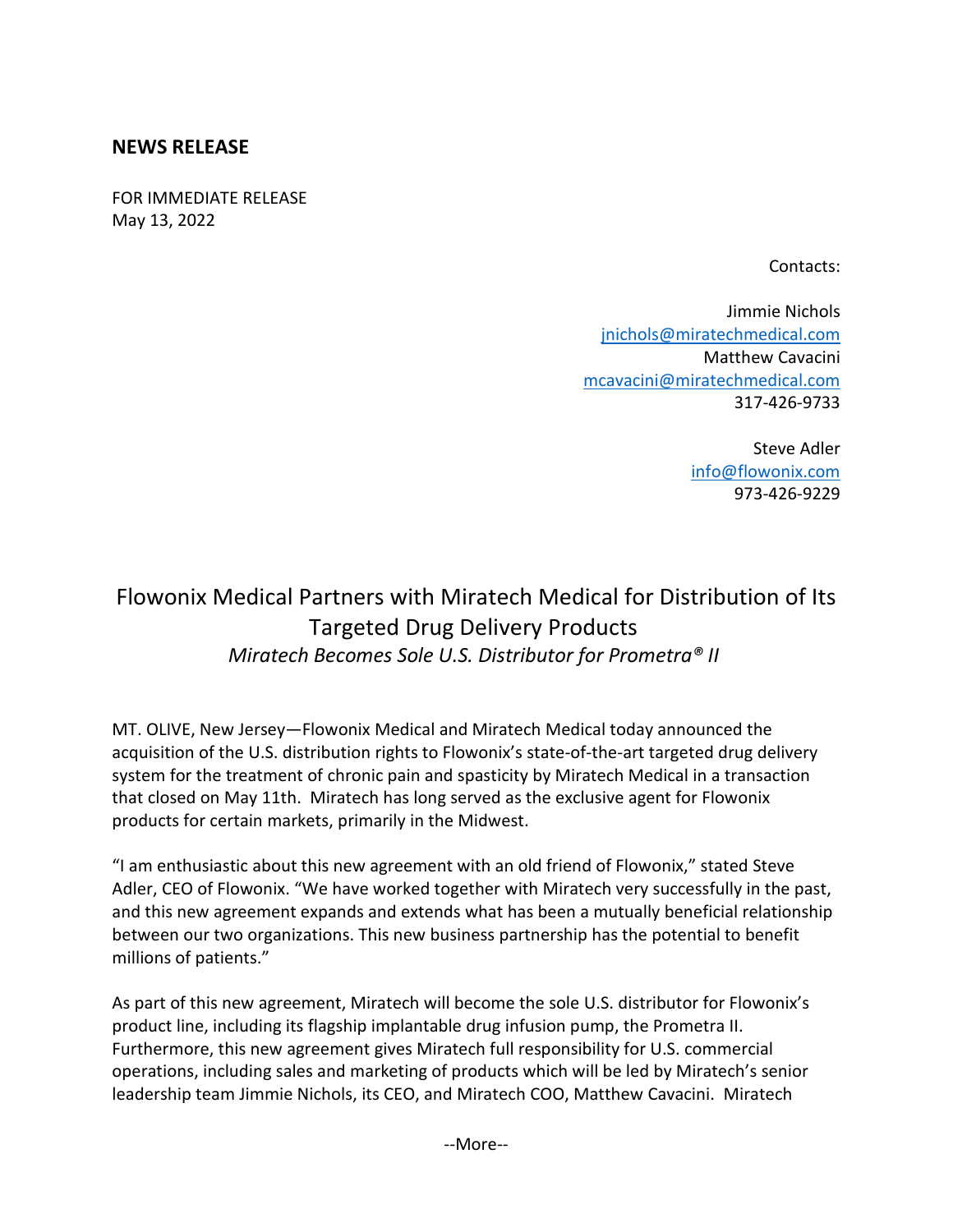## **NEWS RELEASE**

FOR IMMEDIATE RELEASE May 13, 2022

Contacts:

Jimmie Nichols [jnichols@miratechmedical.com](mailto:jnichols@miratechmedical.com) Matthew Cavacini [mcavacini@miratechmedical.com](mailto:mcavacini@miratechmedical.com) 317-426-9733

> Steve Adler [info@flowonix.com](mailto:info@flowonix.com) 973-426-9229

## Flowonix Medical Partners with Miratech Medical for Distribution of Its Targeted Drug Delivery Products *Miratech Becomes Sole U.S. Distributor for Prometra® II*

MT. OLIVE, New Jersey—Flowonix Medical and Miratech Medical today announced the acquisition of the U.S. distribution rights to Flowonix's state-of-the-art targeted drug delivery system for the treatment of chronic pain and spasticity by Miratech Medical in a transaction that closed on May 11th. Miratech has long served as the exclusive agent for Flowonix products for certain markets, primarily in the Midwest.

"I am enthusiastic about this new agreement with an old friend of Flowonix," stated Steve Adler, CEO of Flowonix. "We have worked together with Miratech very successfully in the past, and this new agreement expands and extends what has been a mutually beneficial relationship between our two organizations. This new business partnership has the potential to benefit millions of patients."

As part of this new agreement, Miratech will become the sole U.S. distributor for Flowonix's product line, including its flagship implantable drug infusion pump, the Prometra II. Furthermore, this new agreement gives Miratech full responsibility for U.S. commercial operations, including sales and marketing of products which will be led by Miratech's senior leadership team Jimmie Nichols, its CEO, and Miratech COO, Matthew Cavacini. Miratech